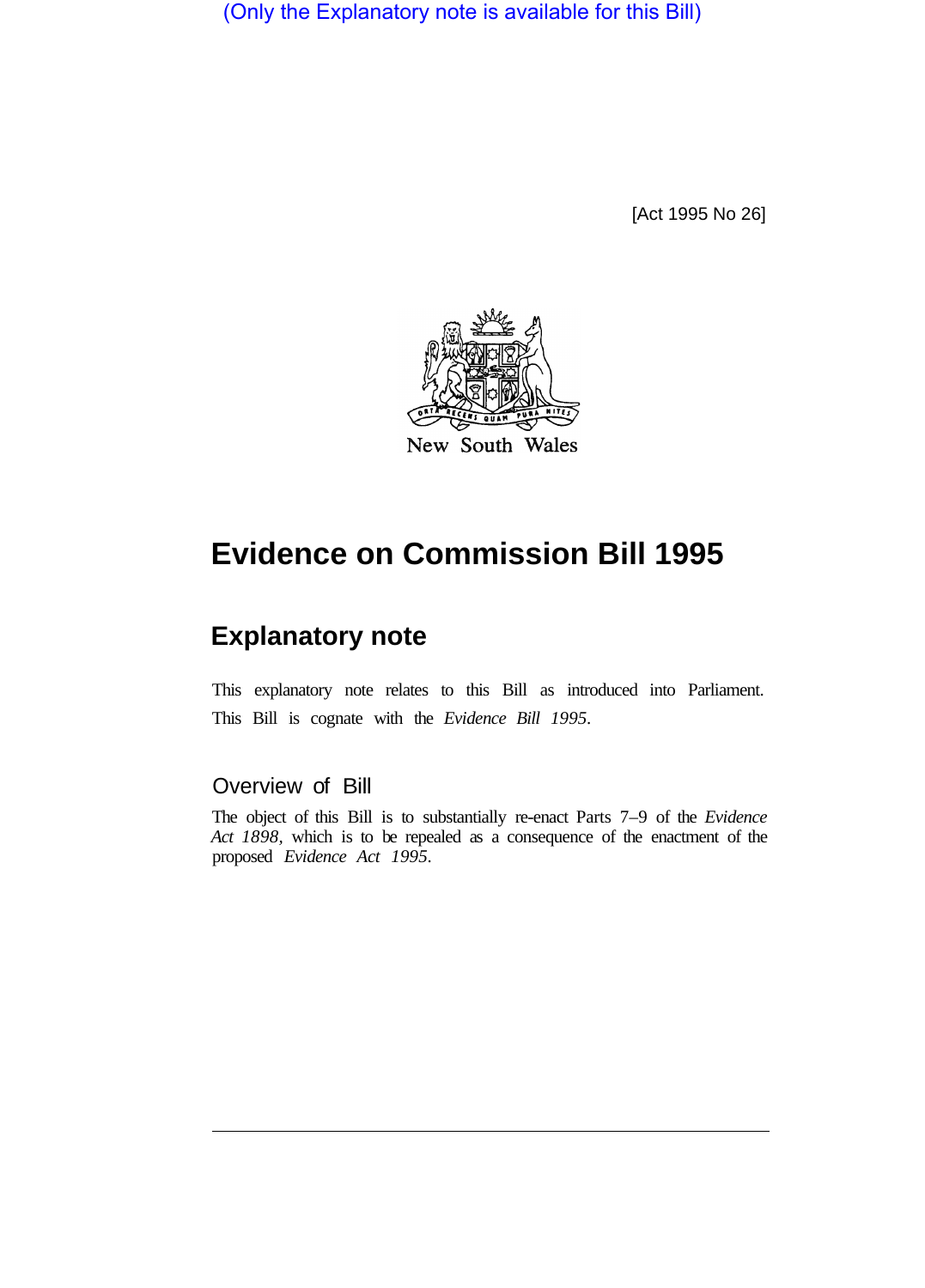(Only the Explanatory note is available for this Bill)

[Act 1995 No 26]



# **Evidence on Commission Bill 1995**

# **Explanatory note**

This explanatory note relates to this Bill as introduced into Parliament. This Bill is cognate with the *Evidence Bill 1995.* 

# Overview of Bill

The object of this Bill is to substantially re-enact Parts 7–9 of the *Evidence Act 1898,* which is to be repealed as a consequence of the enactment of the proposed *Evidence Act 1995.*